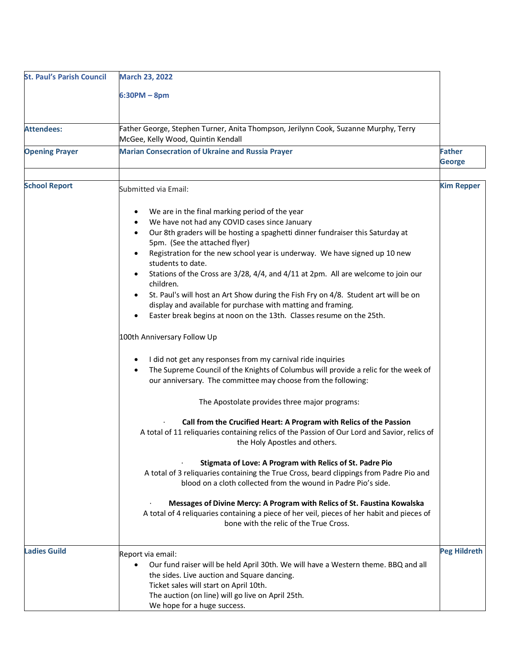| <b>St. Paul's Parish Council</b> | <b>March 23, 2022</b>                                                                                                                                                                                                                                                                                                                                                                                                                                                                                                                                                                                                                                                                                                                                                                                                                                                                                                                                                                                                                                                                                                                                                                                                                                                                                                                                                                                                                                                                                                                                                                                             |                                |
|----------------------------------|-------------------------------------------------------------------------------------------------------------------------------------------------------------------------------------------------------------------------------------------------------------------------------------------------------------------------------------------------------------------------------------------------------------------------------------------------------------------------------------------------------------------------------------------------------------------------------------------------------------------------------------------------------------------------------------------------------------------------------------------------------------------------------------------------------------------------------------------------------------------------------------------------------------------------------------------------------------------------------------------------------------------------------------------------------------------------------------------------------------------------------------------------------------------------------------------------------------------------------------------------------------------------------------------------------------------------------------------------------------------------------------------------------------------------------------------------------------------------------------------------------------------------------------------------------------------------------------------------------------------|--------------------------------|
|                                  | $6:30PM - 8pm$                                                                                                                                                                                                                                                                                                                                                                                                                                                                                                                                                                                                                                                                                                                                                                                                                                                                                                                                                                                                                                                                                                                                                                                                                                                                                                                                                                                                                                                                                                                                                                                                    |                                |
| <b>Attendees:</b>                | Father George, Stephen Turner, Anita Thompson, Jerilynn Cook, Suzanne Murphy, Terry<br>McGee, Kelly Wood, Quintin Kendall                                                                                                                                                                                                                                                                                                                                                                                                                                                                                                                                                                                                                                                                                                                                                                                                                                                                                                                                                                                                                                                                                                                                                                                                                                                                                                                                                                                                                                                                                         |                                |
| <b>Opening Prayer</b>            | <b>Marian Consecration of Ukraine and Russia Prayer</b>                                                                                                                                                                                                                                                                                                                                                                                                                                                                                                                                                                                                                                                                                                                                                                                                                                                                                                                                                                                                                                                                                                                                                                                                                                                                                                                                                                                                                                                                                                                                                           | <b>Father</b><br><b>George</b> |
| <b>School Report</b>             | Submitted via Email:                                                                                                                                                                                                                                                                                                                                                                                                                                                                                                                                                                                                                                                                                                                                                                                                                                                                                                                                                                                                                                                                                                                                                                                                                                                                                                                                                                                                                                                                                                                                                                                              | <b>Kim Repper</b>              |
| <b>Ladies Guild</b>              | We are in the final marking period of the year<br>We have not had any COVID cases since January<br>Our 8th graders will be hosting a spaghetti dinner fundraiser this Saturday at<br>5pm. (See the attached flyer)<br>Registration for the new school year is underway. We have signed up 10 new<br>students to date.<br>Stations of the Cross are 3/28, 4/4, and 4/11 at 2pm. All are welcome to join our<br>children.<br>St. Paul's will host an Art Show during the Fish Fry on 4/8. Student art will be on<br>display and available for purchase with matting and framing.<br>Easter break begins at noon on the 13th. Classes resume on the 25th.<br>100th Anniversary Follow Up<br>I did not get any responses from my carnival ride inquiries<br>The Supreme Council of the Knights of Columbus will provide a relic for the week of<br>our anniversary. The committee may choose from the following:<br>The Apostolate provides three major programs:<br>Call from the Crucified Heart: A Program with Relics of the Passion<br>A total of 11 reliquaries containing relics of the Passion of Our Lord and Savior, relics of<br>the Holy Apostles and others.<br>Stigmata of Love: A Program with Relics of St. Padre Pio<br>A total of 3 reliquaries containing the True Cross, beard clippings from Padre Pio and<br>blood on a cloth collected from the wound in Padre Pio's side.<br>Messages of Divine Mercy: A Program with Relics of St. Faustina Kowalska<br>A total of 4 reliquaries containing a piece of her veil, pieces of her habit and pieces of<br>bone with the relic of the True Cross. | <b>Peg Hildreth</b>            |
|                                  | Report via email:<br>Our fund raiser will be held April 30th. We will have a Western theme. BBQ and all                                                                                                                                                                                                                                                                                                                                                                                                                                                                                                                                                                                                                                                                                                                                                                                                                                                                                                                                                                                                                                                                                                                                                                                                                                                                                                                                                                                                                                                                                                           |                                |
|                                  | the sides. Live auction and Square dancing.<br>Ticket sales will start on April 10th.<br>The auction (on line) will go live on April 25th.<br>We hope for a huge success.                                                                                                                                                                                                                                                                                                                                                                                                                                                                                                                                                                                                                                                                                                                                                                                                                                                                                                                                                                                                                                                                                                                                                                                                                                                                                                                                                                                                                                         |                                |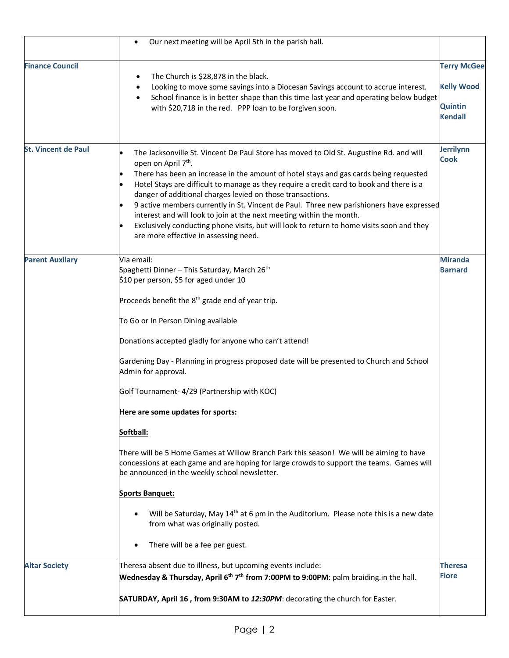|                            | Our next meeting will be April 5th in the parish hall.<br>$\bullet$                                                                                                                                                                                                                                                                                                                                                                                                                                                                                                                                                                                                                                                                                                                                                                                                                                                                                                            |                                                                             |
|----------------------------|--------------------------------------------------------------------------------------------------------------------------------------------------------------------------------------------------------------------------------------------------------------------------------------------------------------------------------------------------------------------------------------------------------------------------------------------------------------------------------------------------------------------------------------------------------------------------------------------------------------------------------------------------------------------------------------------------------------------------------------------------------------------------------------------------------------------------------------------------------------------------------------------------------------------------------------------------------------------------------|-----------------------------------------------------------------------------|
| <b>Finance Council</b>     | The Church is \$28,878 in the black.<br>Looking to move some savings into a Diocesan Savings account to accrue interest.<br>School finance is in better shape than this time last year and operating below budget<br>with \$20,718 in the red. PPP loan to be forgiven soon.                                                                                                                                                                                                                                                                                                                                                                                                                                                                                                                                                                                                                                                                                                   | <b>Terry McGee</b><br><b>Kelly Wood</b><br><b>Quintin</b><br><b>Kendall</b> |
| <b>St. Vincent de Paul</b> | The Jacksonville St. Vincent De Paul Store has moved to Old St. Augustine Rd. and will<br>open on April 7 <sup>th</sup> .<br>There has been an increase in the amount of hotel stays and gas cards being requested<br>Hotel Stays are difficult to manage as they require a credit card to book and there is a<br>danger of additional charges levied on those transactions.<br>9 active members currently in St. Vincent de Paul. Three new parishioners have expressed<br>interest and will look to join at the next meeting within the month.<br>Exclusively conducting phone visits, but will look to return to home visits soon and they<br>are more effective in assessing need.                                                                                                                                                                                                                                                                                         | Jerrilynn<br><b>Cook</b>                                                    |
| <b>Parent Auxilary</b>     | Via email:<br>Spaghetti Dinner - This Saturday, March 26 <sup>th</sup><br>\$10 per person, \$5 for aged under 10<br>Proceeds benefit the 8 <sup>th</sup> grade end of year trip.<br>To Go or In Person Dining available<br>Donations accepted gladly for anyone who can't attend!<br>Gardening Day - Planning in progress proposed date will be presented to Church and School<br>Admin for approval.<br>Golf Tournament- 4/29 (Partnership with KOC)<br>Here are some updates for sports:<br>Softball:<br>There will be 5 Home Games at Willow Branch Park this season! We will be aiming to have<br>concessions at each game and are hoping for large crowds to support the teams. Games will<br>be announced in the weekly school newsletter.<br><b>Sports Banquet:</b><br>Will be Saturday, May 14 <sup>th</sup> at 6 pm in the Auditorium. Please note this is a new date<br>$\bullet$<br>from what was originally posted.<br>There will be a fee per guest.<br>$\bullet$ | <b>Miranda</b><br><b>Barnard</b>                                            |
| <b>Altar Society</b>       | Theresa absent due to illness, but upcoming events include:<br>Wednesday & Thursday, April $6th 7th$ from 7:00PM to 9:00PM: palm braiding.in the hall.<br>SATURDAY, April 16, from 9:30AM to 12:30PM: decorating the church for Easter.                                                                                                                                                                                                                                                                                                                                                                                                                                                                                                                                                                                                                                                                                                                                        | <b>Theresa</b><br><b>Fiore</b>                                              |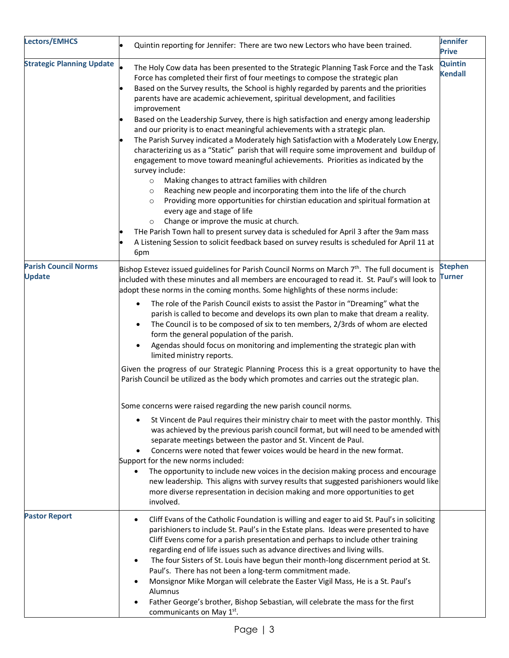| <b>Lectors/EMHCS</b>                         | Quintin reporting for Jennifer: There are two new Lectors who have been trained.                                                                                                                                                                                                                                                                                                                                                                                                                                                                                                                                                                                                                                                                                                                                                                                                                                                                                                                                                                                                                                                                                                                                                                                                                                                                                                     | <b>Jennifer</b><br><b>Prive</b> |
|----------------------------------------------|--------------------------------------------------------------------------------------------------------------------------------------------------------------------------------------------------------------------------------------------------------------------------------------------------------------------------------------------------------------------------------------------------------------------------------------------------------------------------------------------------------------------------------------------------------------------------------------------------------------------------------------------------------------------------------------------------------------------------------------------------------------------------------------------------------------------------------------------------------------------------------------------------------------------------------------------------------------------------------------------------------------------------------------------------------------------------------------------------------------------------------------------------------------------------------------------------------------------------------------------------------------------------------------------------------------------------------------------------------------------------------------|---------------------------------|
| <b>Strategic Planning Update</b>             | The Holy Cow data has been presented to the Strategic Planning Task Force and the Task<br>Force has completed their first of four meetings to compose the strategic plan<br>Based on the Survey results, the School is highly regarded by parents and the priorities<br>parents have are academic achievement, spiritual development, and facilities<br>improvement<br>Based on the Leadership Survey, there is high satisfaction and energy among leadership<br>and our priority is to enact meaningful achievements with a strategic plan.<br>The Parish Survey indicated a Moderately high Satisfaction with a Moderately Low Energy,<br>characterizing us as a "Static" parish that will require some improvement and buildup of<br>engagement to move toward meaningful achievements. Priorities as indicated by the<br>survey include:<br>Making changes to attract families with children<br>$\circ$<br>Reaching new people and incorporating them into the life of the church<br>$\circ$<br>Providing more opportunities for chirstian education and spiritual formation at<br>$\circ$<br>every age and stage of life<br>Change or improve the music at church.<br>$\circ$<br>THe Parish Town hall to present survey data is scheduled for April 3 after the 9am mass<br>A Listening Session to solicit feedback based on survey results is scheduled for April 11 at<br>6pm | Quintin<br><b>Kendall</b>       |
| <b>Parish Council Norms</b><br><b>Update</b> | Bishop Estevez issued guidelines for Parish Council Norms on March $7th$ . The full document is<br>included with these minutes and all members are encouraged to read it. St. Paul's will look to<br>adopt these norms in the coming months. Some highlights of these norms include:<br>The role of the Parish Council exists to assist the Pastor in "Dreaming" what the<br>$\bullet$<br>parish is called to become and develops its own plan to make that dream a reality.<br>The Council is to be composed of six to ten members, 2/3rds of whom are elected<br>form the general population of the parish.<br>Agendas should focus on monitoring and implementing the strategic plan with<br>$\bullet$<br>limited ministry reports.<br>Given the progress of our Strategic Planning Process this is a great opportunity to have the<br>Parish Council be utilized as the body which promotes and carries out the strategic plan.                                                                                                                                                                                                                                                                                                                                                                                                                                                  | <b>Stephen</b><br>Turner        |
|                                              | Some concerns were raised regarding the new parish council norms.<br>St Vincent de Paul requires their ministry chair to meet with the pastor monthly. This<br>was achieved by the previous parish council format, but will need to be amended with<br>separate meetings between the pastor and St. Vincent de Paul.<br>Concerns were noted that fewer voices would be heard in the new format.<br>Support for the new norms included:<br>The opportunity to include new voices in the decision making process and encourage<br>new leadership. This aligns with survey results that suggested parishioners would like<br>more diverse representation in decision making and more opportunities to get<br>involved.                                                                                                                                                                                                                                                                                                                                                                                                                                                                                                                                                                                                                                                                  |                                 |
| <b>Pastor Report</b>                         | Cliff Evans of the Catholic Foundation is willing and eager to aid St. Paul's in soliciting<br>٠<br>parishioners to include St. Paul's in the Estate plans. Ideas were presented to have<br>Cliff Evens come for a parish presentation and perhaps to include other training<br>regarding end of life issues such as advance directives and living wills.<br>The four Sisters of St. Louis have begun their month-long discernment period at St.<br>٠<br>Paul's. There has not been a long-term commitment made.<br>Monsignor Mike Morgan will celebrate the Easter Vigil Mass, He is a St. Paul's<br>Alumnus<br>Father George's brother, Bishop Sebastian, will celebrate the mass for the first<br>communicants on May 1st.                                                                                                                                                                                                                                                                                                                                                                                                                                                                                                                                                                                                                                                        |                                 |